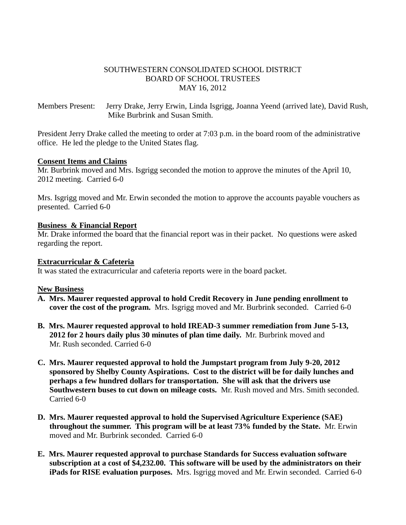### SOUTHWESTERN CONSOLIDATED SCHOOL DISTRICT BOARD OF SCHOOL TRUSTEES MAY 16, 2012

Members Present: Jerry Drake, Jerry Erwin, Linda Isgrigg, Joanna Yeend (arrived late), David Rush, Mike Burbrink and Susan Smith.

President Jerry Drake called the meeting to order at 7:03 p.m. in the board room of the administrative office. He led the pledge to the United States flag.

#### **Consent Items and Claims**

Mr. Burbrink moved and Mrs. Isgrigg seconded the motion to approve the minutes of the April 10, 2012 meeting. Carried 6-0

Mrs. Isgrigg moved and Mr. Erwin seconded the motion to approve the accounts payable vouchers as presented. Carried 6-0

#### **Business & Financial Report**

Mr. Drake informed the board that the financial report was in their packet. No questions were asked regarding the report.

#### **Extracurricular & Cafeteria**

It was stated the extracurricular and cafeteria reports were in the board packet.

#### **New Business**

- **A. Mrs. Maurer requested approval to hold Credit Recovery in June pending enrollment to cover the cost of the program.** Mrs. Isgrigg moved and Mr. Burbrink seconded. Carried 6-0
- **B. Mrs. Maurer requested approval to hold IREAD-3 summer remediation from June 5-13, 2012 for 2 hours daily plus 30 minutes of plan time daily.** Mr. Burbrink moved and Mr. Rush seconded. Carried 6-0
- **C. Mrs. Maurer requested approval to hold the Jumpstart program from July 9-20, 2012 sponsored by Shelby County Aspirations. Cost to the district will be for daily lunches and perhaps a few hundred dollars for transportation. She will ask that the drivers use Southwestern buses to cut down on mileage costs.** Mr. Rush moved and Mrs. Smith seconded. Carried 6-0
- **D. Mrs. Maurer requested approval to hold the Supervised Agriculture Experience (SAE) throughout the summer. This program will be at least 73% funded by the State.** Mr. Erwin moved and Mr. Burbrink seconded. Carried 6-0
- **E. Mrs. Maurer requested approval to purchase Standards for Success evaluation software subscription at a cost of \$4,232.00. This software will be used by the administrators on their iPads for RISE evaluation purposes.** Mrs. Isgrigg moved and Mr. Erwin seconded. Carried 6-0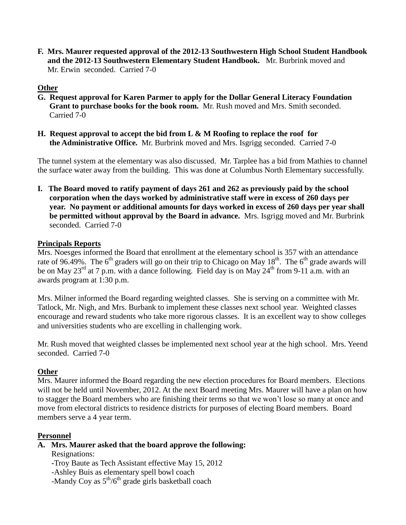**F. Mrs. Maurer requested approval of the 2012-13 Southwestern High School Student Handbook and the 2012-13 Southwestern Elementary Student Handbook.** Mr. Burbrink moved and Mr. Erwin seconded. Carried 7-0

# **Other**

- **G. Request approval for Karen Parmer to apply for the Dollar General Literacy Foundation Grant to purchase books for the book room.** Mr. Rush moved and Mrs. Smith seconded. Carried 7-0
- **H. Request approval to accept the bid from L & M Roofing to replace the roof for the Administrative Office.** Mr. Burbrink moved and Mrs. Isgrigg seconded. Carried 7-0

The tunnel system at the elementary was also discussed. Mr. Tarplee has a bid from Mathies to channel the surface water away from the building. This was done at Columbus North Elementary successfully.

**I. The Board moved to ratify payment of days 261 and 262 as previously paid by the school corporation when the days worked by administrative staff were in excess of 260 days per year. No payment or additional amounts for days worked in excess of 260 days per year shall be permitted without approval by the Board in advance.** Mrs. Isgrigg moved and Mr. Burbrink seconded. Carried 7-0

## **Principals Reports**

Mrs. Noesges informed the Board that enrollment at the elementary school is 357 with an attendance rate of 96.49%. The 6<sup>th</sup> graders will go on their trip to Chicago on May 18<sup>th</sup>. The 6<sup>th</sup> grade awards will be on May 23<sup>rd</sup> at 7 p.m. with a dance following. Field day is on May 24<sup>th</sup> from 9-11 a.m. with an awards program at 1:30 p.m.

Mrs. Milner informed the Board regarding weighted classes. She is serving on a committee with Mr. Tatlock, Mr. Nigh, and Mrs. Burbank to implement these classes next school year. Weighted classes encourage and reward students who take more rigorous classes. It is an excellent way to show colleges and universities students who are excelling in challenging work.

Mr. Rush moved that weighted classes be implemented next school year at the high school. Mrs. Yeend seconded. Carried 7-0

## **Other**

Mrs. Maurer informed the Board regarding the new election procedures for Board members. Elections will not be held until November, 2012. At the next Board meeting Mrs. Maurer will have a plan on how to stagger the Board members who are finishing their terms so that we won't lose so many at once and move from electoral districts to residence districts for purposes of electing Board members. Board members serve a 4 year term.

## **Personnel**

## **A. Mrs. Maurer asked that the board approve the following:**

Resignations:

 **-**Troy Baute as Tech Assistant effective May 15, 2012

-Ashley Buis as elementary spell bowl coach

-Mandy Coy as  $5<sup>th</sup>/6<sup>th</sup>$  grade girls basketball coach